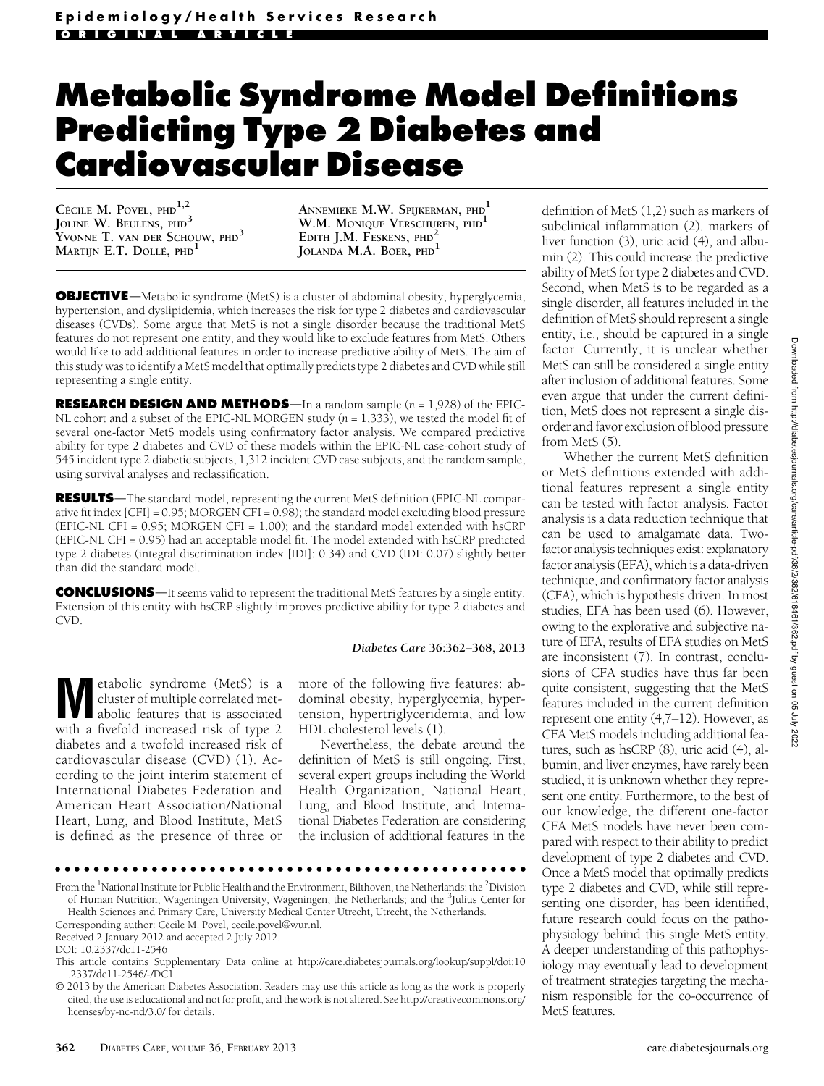# Metabolic Syndrome Model Definitions Predicting Type 2 Diabetes and Cardiovascular Disease

CÉCILE M. POVEL, PHD<sup>1,2</sup> JOLINE W. BEULENS, PHD<sup>3</sup> YVONNE T. VAN DER SCHOUW, PHD<sup>3</sup> MARTIJN E.T. DOLLÉ, PHD<sup>1</sup>

ANNEMIEKE M.W. SPIJKERMAN, PHD<sup>1</sup> W.M. MONIQUE VERSCHUREN, PHD<sup>1</sup> EDITH J.M. FESKENS, PHD<sup>4</sup> JOLANDA M.A. BOER, PHD<sup>1</sup>

**OBJECTIVE**—Metabolic syndrome (MetS) is a cluster of abdominal obesity, hyperglycemia, hypertension, and dyslipidemia, which increases the risk for type 2 diabetes and cardiovascular diseases (CVDs). Some argue that MetS is not a single disorder because the traditional MetS features do not represent one entity, and they would like to exclude features from MetS. Others would like to add additional features in order to increase predictive ability of MetS. The aim of this study was to identify a MetS model that optimally predicts type 2 diabetes and CVD while still representing a single entity.

**RESEARCH DESIGN AND METHODS**—In a random sample  $(n = 1,928)$  of the EPIC-NL cohort and a subset of the EPIC-NL MORGEN study  $(n = 1,333)$ , we tested the model fit of several one-factor MetS models using confirmatory factor analysis. We compared predictive ability for type 2 diabetes and CVD of these models within the EPIC-NL case-cohort study of 545 incident type 2 diabetic subjects, 1,312 incident CVD case subjects, and the random sample, using survival analyses and reclassification.

**RESULTS**—The standard model, representing the current MetS definition (EPIC-NL comparative fit index [CFI] = 0.95; MORGEN CFI = 0.98); the standard model excluding blood pressure (EPIC-NL CFI = 0.95; MORGEN CFI = 1.00); and the standard model extended with hsCRP (EPIC-NL CFI = 0.95) had an acceptable model fit. The model extended with hsCRP predicted type 2 diabetes (integral discrimination index [IDI]: 0.34) and CVD (IDI: 0.07) slightly better than did the standard model.

**CONCLUSIONS**—It seems valid to represent the traditional MetS features by a single entity. Extension of this entity with hsCRP slightly improves predictive ability for type 2 diabetes and CVD.

#### Diabetes Care 36:362–368, 2013

**Metabolic syndrome (MetS) is a**<br>cluster of multiple correlated metabolic features that is associated<br>with a function of time 2 cluster of multiple correlated metwith a fivefold increased risk of type 2 diabetes and a twofold increased risk of cardiovascular disease (CVD) (1). According to the joint interim statement of International Diabetes Federation and American Heart Association/National Heart, Lung, and Blood Institute, MetS is defined as the presence of three or

more of the following five features: abdominal obesity, hyperglycemia, hypertension, hypertriglyceridemia, and low HDL cholesterol levels (1).

Nevertheless, the debate around the definition of MetS is still ongoing. First, several expert groups including the World Health Organization, National Heart, Lung, and Blood Institute, and International Diabetes Federation are considering the inclusion of additional features in the

ccccccccccccccccccccccccccccccccccccccccccccccccc

From the <sup>1</sup>National Institute for Public Health and the Environment, Bilthoven, the Netherlands; the <sup>2</sup>Division of Human Nutrition, Wageningen University, Wageningen, the Netherlands; and the <sup>3</sup>Julius Center for Health Sciences and Primary Care, University Medical Center Utrecht, Utrecht, the Netherlands.

definition of MetS (1,2) such as markers of subclinical inflammation (2), markers of liver function (3), uric acid (4), and albumin (2). This could increase the predictive ability of MetS for type 2 diabetes and CVD. Second, when MetS is to be regarded as a single disorder, all features included in the definition of MetS should represent a single entity, i.e., should be captured in a single factor. Currently, it is unclear whether MetS can still be considered a single entity after inclusion of additional features. Some even argue that under the current definition, MetS does not represent a single disorder and favor exclusion of blood pressure from MetS (5).

Whether the current MetS definition or MetS definitions extended with additional features represent a single entity can be tested with factor analysis. Factor analysis is a data reduction technique that can be used to amalgamate data. Twofactor analysis techniques exist: explanatory factor analysis (EFA), which is a data-driven technique, and confirmatory factor analysis (CFA), which is hypothesis driven. In most studies, EFA has been used (6). However, owing to the explorative and subjective nature of EFA, results of EFA studies on MetS are inconsistent (7). In contrast, conclusions of CFA studies have thus far been quite consistent, suggesting that the MetS features included in the current definition represent one entity (4,7–12). However, as CFA MetS models including additional features, such as hsCRP (8), uric acid (4), albumin, and liver enzymes, have rarely been studied, it is unknown whether they represent one entity. Furthermore, to the best of our knowledge, the different one-factor CFA MetS models have never been compared with respect to their ability to predict development of type 2 diabetes and CVD. Once a MetS model that optimally predicts type 2 diabetes and CVD, while still representing one disorder, has been identified, future research could focus on the pathophysiology behind this single MetS entity. A deeper understanding of this pathophysiology may eventually lead to development of treatment strategies targeting the mechanism responsible for the co-occurrence of MetS features.

Corresponding author: Cécile M. Povel, [cecile.povel@wur.nl](mailto:cecile.povel@wur.nl).

Received 2 January 2012 and accepted 2 July 2012.

DOI: 10.2337/dc11-2546

This article contains Supplementary Data online at [http://care.diabetesjournals.org/lookup/suppl/doi:10](http://care.diabetesjournals.org/lookup/suppl/doi:10.2337/dc11-2546/-/DC1) [.2337/dc11-2546/-/DC1](http://care.diabetesjournals.org/lookup/suppl/doi:10.2337/dc11-2546/-/DC1).

<sup>© 2013</sup> by the American Diabetes Association. Readers may use this article as long as the work is properly cited, the use is educational and not for profit, and the work is not altered. See [http://creativecommons.org/](http://creativecommons.org/licenses/by-nc-nd/3.0/) [licenses/by-nc-nd/3.0/](http://creativecommons.org/licenses/by-nc-nd/3.0/) for details.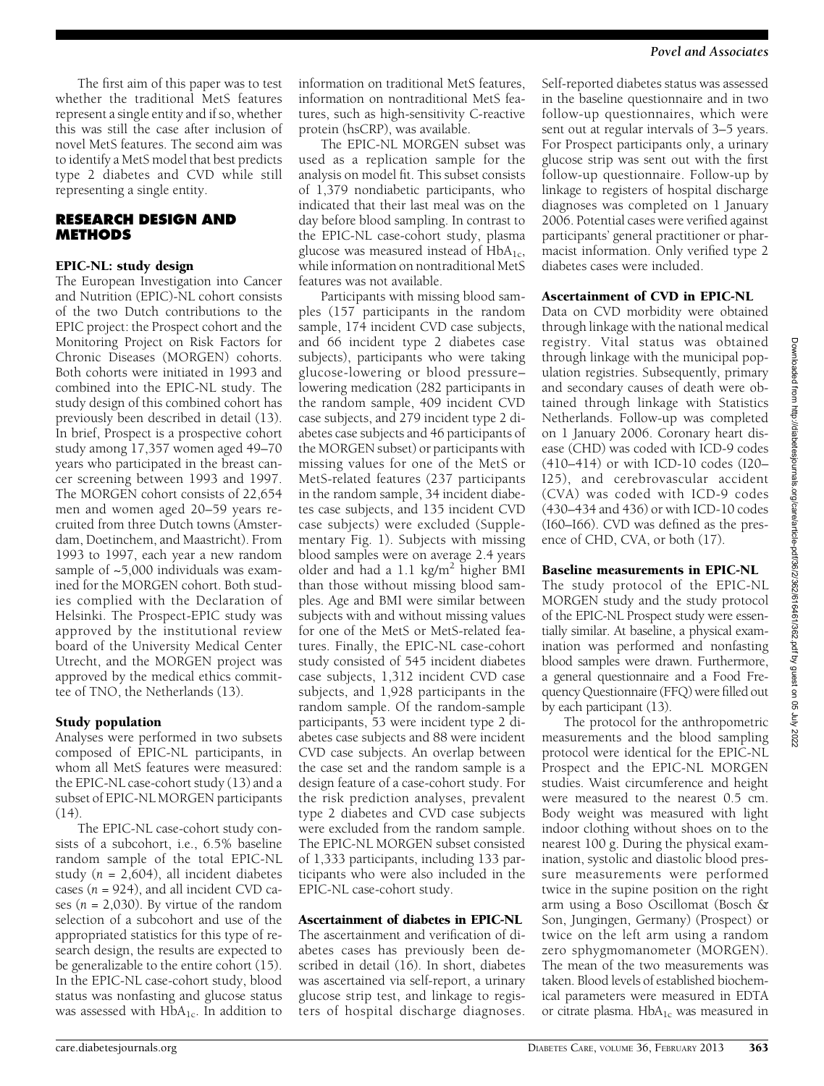The first aim of this paper was to test whether the traditional MetS features represent a single entity and if so, whether this was still the case after inclusion of novel MetS features. The second aim was to identify a MetS model that best predicts type 2 diabetes and CVD while still representing a single entity.

## RESEARCH DESIGN AND **METHODS**

# EPIC-NL: study design

The European Investigation into Cancer and Nutrition (EPIC)-NL cohort consists of the two Dutch contributions to the EPIC project: the Prospect cohort and the Monitoring Project on Risk Factors for Chronic Diseases (MORGEN) cohorts. Both cohorts were initiated in 1993 and combined into the EPIC-NL study. The study design of this combined cohort has previously been described in detail (13). In brief, Prospect is a prospective cohort study among 17,357 women aged 49–70 years who participated in the breast cancer screening between 1993 and 1997. The MORGEN cohort consists of 22,654 men and women aged 20–59 years recruited from three Dutch towns (Amsterdam, Doetinchem, and Maastricht). From 1993 to 1997, each year a new random sample of ~5,000 individuals was examined for the MORGEN cohort. Both studies complied with the Declaration of Helsinki. The Prospect-EPIC study was approved by the institutional review board of the University Medical Center Utrecht, and the MORGEN project was approved by the medical ethics committee of TNO, the Netherlands (13).

## Study population

Analyses were performed in two subsets composed of EPIC-NL participants, in whom all MetS features were measured: the EPIC-NL case-cohort study (13) and a subset of EPIC-NL MORGEN participants (14).

The EPIC-NL case-cohort study consists of a subcohort, i.e., 6.5% baseline random sample of the total EPIC-NL study ( $n = 2,604$ ), all incident diabetes cases  $(n = 924)$ , and all incident CVD cases ( $n = 2,030$ ). By virtue of the random selection of a subcohort and use of the appropriated statistics for this type of research design, the results are expected to be generalizable to the entire cohort (15). In the EPIC-NL case-cohort study, blood status was nonfasting and glucose status was assessed with  $HbA_{1c}$ . In addition to information on traditional MetS features, information on nontraditional MetS features, such as high-sensitivity C-reactive protein (hsCRP), was available.

The EPIC-NL MORGEN subset was used as a replication sample for the analysis on model fit. This subset consists of 1,379 nondiabetic participants, who indicated that their last meal was on the day before blood sampling. In contrast to the EPIC-NL case-cohort study, plasma glucose was measured instead of  $HbA_{1c}$ , while information on nontraditional MetS features was not available.

Participants with missing blood samples (157 participants in the random sample, 174 incident CVD case subjects, and 66 incident type 2 diabetes case subjects), participants who were taking glucose-lowering or blood pressure– lowering medication (282 participants in the random sample, 409 incident CVD case subjects, and 279 incident type 2 diabetes case subjects and 46 participants of the MORGEN subset) or participants with missing values for one of the MetS or MetS-related features (237 participants in the random sample, 34 incident diabetes case subjects, and 135 incident CVD case subjects) were excluded [\(Supple](http://care.diabetesjournals.org/lookup/suppl/doi:10.2337/dc11-2546/-/DC1)[mentary Fig. 1\)](http://care.diabetesjournals.org/lookup/suppl/doi:10.2337/dc11-2546/-/DC1). Subjects with missing blood samples were on average 2.4 years older and had a 1.1 kg/m<sup>2</sup> higher BMI than those without missing blood samples. Age and BMI were similar between subjects with and without missing values for one of the MetS or MetS-related features. Finally, the EPIC-NL case-cohort study consisted of 545 incident diabetes case subjects, 1,312 incident CVD case subjects, and 1,928 participants in the random sample. Of the random-sample participants, 53 were incident type 2 diabetes case subjects and 88 were incident CVD case subjects. An overlap between the case set and the random sample is a design feature of a case-cohort study. For the risk prediction analyses, prevalent type 2 diabetes and CVD case subjects were excluded from the random sample. The EPIC-NL MORGEN subset consisted of 1,333 participants, including 133 participants who were also included in the EPIC-NL case-cohort study.

## Ascertainment of diabetes in EPIC-NL

The ascertainment and verification of diabetes cases has previously been described in detail (16). In short, diabetes was ascertained via self-report, a urinary glucose strip test, and linkage to registers of hospital discharge diagnoses.

Self-reported diabetes status was assessed in the baseline questionnaire and in two follow-up questionnaires, which were sent out at regular intervals of 3–5 years. For Prospect participants only, a urinary glucose strip was sent out with the first follow-up questionnaire. Follow-up by linkage to registers of hospital discharge diagnoses was completed on 1 January 2006. Potential cases were verified against participants' general practitioner or pharmacist information. Only verified type 2 diabetes cases were included.

## Ascertainment of CVD in EPIC-NL

Data on CVD morbidity were obtained through linkage with the national medical registry. Vital status was obtained through linkage with the municipal population registries. Subsequently, primary and secondary causes of death were obtained through linkage with Statistics Netherlands. Follow-up was completed on 1 January 2006. Coronary heart disease (CHD) was coded with ICD-9 codes (410–414) or with ICD-10 codes (I20– I25), and cerebrovascular accident (CVA) was coded with ICD-9 codes (430–434 and 436) or with ICD-10 codes (I60–I66). CVD was defined as the presence of CHD, CVA, or both (17).

## Baseline measurements in EPIC-NL

The study protocol of the EPIC-NL MORGEN study and the study protocol of the EPIC-NL Prospect study were essentially similar. At baseline, a physical examination was performed and nonfasting blood samples were drawn. Furthermore, a general questionnaire and a Food Frequency Questionnaire (FFQ) were filled out by each participant (13).

The protocol for the anthropometric measurements and the blood sampling protocol were identical for the EPIC-NL Prospect and the EPIC-NL MORGEN studies. Waist circumference and height were measured to the nearest 0.5 cm. Body weight was measured with light indoor clothing without shoes on to the nearest 100 g. During the physical examination, systolic and diastolic blood pressure measurements were performed twice in the supine position on the right arm using a Boso Oscillomat (Bosch & Son, Jungingen, Germany) (Prospect) or twice on the left arm using a random zero sphygmomanometer (MORGEN). The mean of the two measurements was taken. Blood levels of established biochemical parameters were measured in EDTA or citrate plasma.  $HbA_{1c}$  was measured in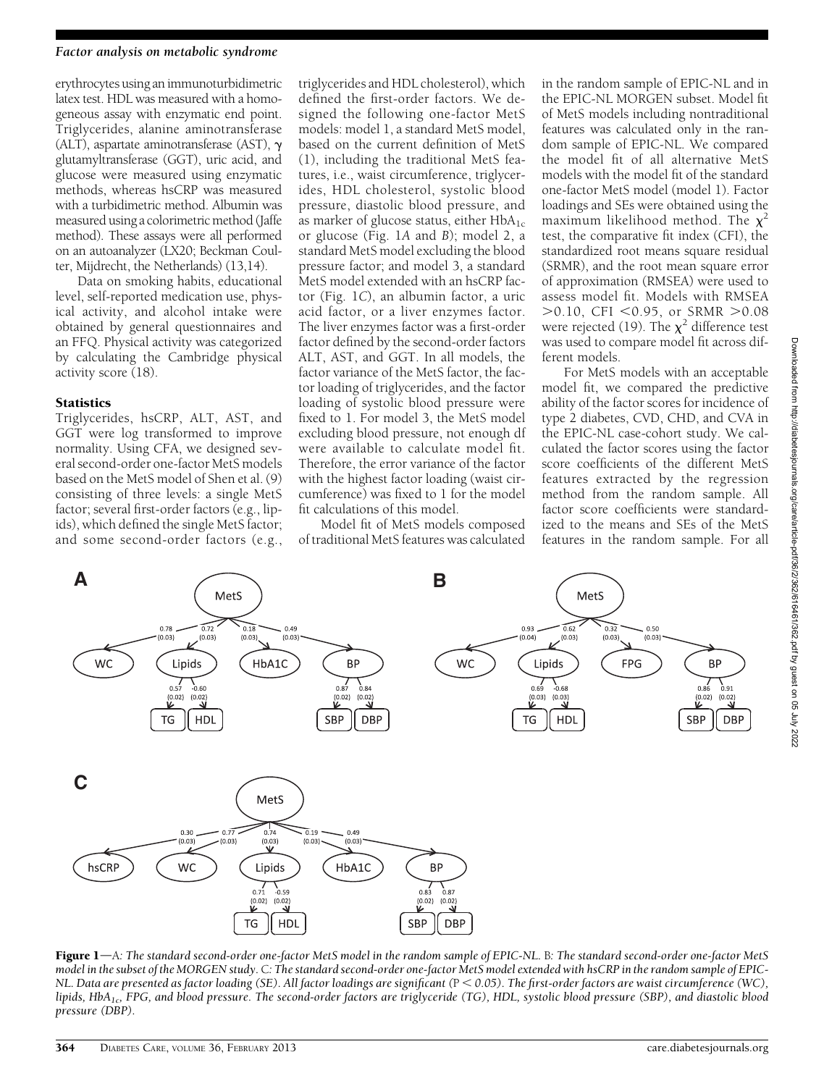#### Factor analysis on metabolic syndrome

erythrocytes using an immunoturbidimetric latex test. HDL was measured with a homogeneous assay with enzymatic end point. Triglycerides, alanine aminotransferase (ALT), aspartate aminotransferase (AST),  $\gamma$ glutamyltransferase (GGT), uric acid, and glucose were measured using enzymatic methods, whereas hsCRP was measured with a turbidimetric method. Albumin was measured using a colorimetric method (Jaffe method). These assays were all performed on an autoanalyzer (LX20; Beckman Coulter, Mijdrecht, the Netherlands) (13,14).

Data on smoking habits, educational level, self-reported medication use, physical activity, and alcohol intake were obtained by general questionnaires and an FFQ. Physical activity was categorized by calculating the Cambridge physical activity score (18).

#### **Statistics**

Triglycerides, hsCRP, ALT, AST, and GGT were log transformed to improve normality. Using CFA, we designed several second-order one-factor MetS models based on the MetS model of Shen et al. (9) consisting of three levels: a single MetS factor; several first-order factors (e.g., lipids), which defined the single MetS factor; and some second-order factors (e.g., triglycerides and HDL cholesterol), which defined the first-order factors. We designed the following one-factor MetS models: model 1, a standard MetS model, based on the current definition of MetS (1), including the traditional MetS features, i.e., waist circumference, triglycerides, HDL cholesterol, systolic blood pressure, diastolic blood pressure, and as marker of glucose status, either  $HbA_{1c}$ or glucose (Fig. 1A and B); model 2, a standard MetS model excluding the blood pressure factor; and model 3, a standard MetS model extended with an hsCRP factor (Fig. 1C), an albumin factor, a uric acid factor, or a liver enzymes factor. The liver enzymes factor was a first-order factor defined by the second-order factors ALT, AST, and GGT. In all models, the factor variance of the MetS factor, the factor loading of triglycerides, and the factor loading of systolic blood pressure were fixed to 1. For model 3, the MetS model excluding blood pressure, not enough df were available to calculate model fit. Therefore, the error variance of the factor with the highest factor loading (waist circumference) was fixed to 1 for the model fit calculations of this model.

Model fit of MetS models composed of traditional MetS features was calculated in the random sample of EPIC-NL and in the EPIC-NL MORGEN subset. Model fit of MetS models including nontraditional features was calculated only in the random sample of EPIC-NL. We compared the model fit of all alternative MetS models with the model fit of the standard one-factor MetS model (model 1). Factor loadings and SEs were obtained using the maximum likelihood method. The  $\chi^2$ test, the comparative fit index (CFI), the standardized root means square residual (SRMR), and the root mean square error of approximation (RMSEA) were used to assess model fit. Models with RMSEA  $>0.10$ , CFI <0.95, or SRMR  $>0.08$ were rejected (19). The  $\chi^2$  difference test was used to compare model fit across different models.

For MetS models with an acceptable model fit, we compared the predictive ability of the factor scores for incidence of type 2 diabetes, CVD, CHD, and CVA in the EPIC-NL case-cohort study. We calculated the factor scores using the factor score coefficients of the different MetS features extracted by the regression method from the random sample. All factor score coefficients were standardized to the means and SEs of the MetS features in the random sample. For all



Figure 1—A: The standard second-order one-factor MetS model in the random sample of EPIC-NL. B: The standard second-order one-factor MetS model in the subset of the MORGEN study. C: The standard second-order one-factor MetS model extended with hsCRP in the random sample of EPIC-NL. Data are presented as factor loading (SE). All factor loadings are significant ( $P < 0.05$ ). The first-order factors are waist circumference (WC), lipids, HbA<sub>1c</sub>, FPG, and blood pressure. The second-order factors are triglyceride (TG), HDL, systolic blood pressure (SBP), and diastolic blood pressure (DBP).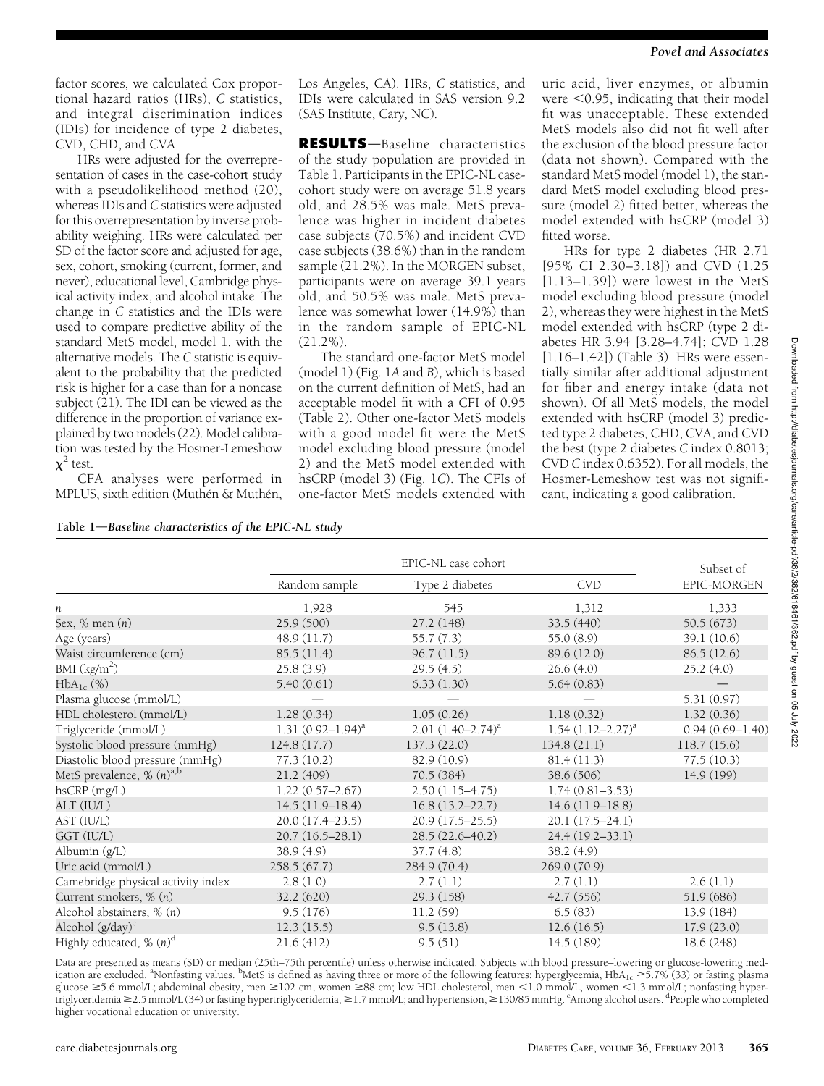factor scores, we calculated Cox proportional hazard ratios (HRs), C statistics, and integral discrimination indices (IDIs) for incidence of type 2 diabetes, CVD, CHD, and CVA.

HRs were adjusted for the overrepresentation of cases in the case-cohort study with a pseudolikelihood method (20), whereas IDIs and C statistics were adjusted for this overrepresentation by inverse probability weighing. HRs were calculated per SD of the factor score and adjusted for age, sex, cohort, smoking (current, former, and never), educational level, Cambridge physical activity index, and alcohol intake. The change in C statistics and the IDIs were used to compare predictive ability of the standard MetS model, model 1, with the alternative models. The C statistic is equivalent to the probability that the predicted risk is higher for a case than for a noncase subject  $(21)$ . The IDI can be viewed as the difference in the proportion of variance explained by two models (22). Model calibration was tested by the Hosmer-Lemeshow  $\chi^2$  test.

CFA analyses were performed in MPLUS, sixth edition (Muthén & Muthén,

Los Angeles, CA). HRs, C statistics, and IDIs were calculated in SAS version 9.2 (SAS Institute, Cary, NC).

RESULTS-Baseline characteristics of the study population are provided in Table 1. Participants in the EPIC-NL casecohort study were on average 51.8 years old, and 28.5% was male. MetS prevalence was higher in incident diabetes case subjects (70.5%) and incident CVD case subjects (38.6%) than in the random sample (21.2%). In the MORGEN subset, participants were on average 39.1 years old, and 50.5% was male. MetS prevalence was somewhat lower (14.9%) than in the random sample of EPIC-NL (21.2%).

The standard one-factor MetS model (model 1) (Fig. 1A and B), which is based on the current definition of MetS, had an acceptable model fit with a CFI of 0.95 (Table 2). Other one-factor MetS models with a good model fit were the MetS model excluding blood pressure (model 2) and the MetS model extended with hsCRP (model 3) (Fig. 1C). The CFIs of one-factor MetS models extended with uric acid, liver enzymes, or albumin were  $<$  0.95, indicating that their model fit was unacceptable. These extended MetS models also did not fit well after the exclusion of the blood pressure factor (data not shown). Compared with the standard MetS model (model 1), the standard MetS model excluding blood pressure (model 2) fitted better, whereas the model extended with hsCRP (model 3) fitted worse.

HRs for type 2 diabetes (HR 2.71 [95% CI 2.30–3.18]) and CVD (1.25  $[1.13-1.39]$ ) were lowest in the MetS model excluding blood pressure (model 2), whereas they were highest in the MetS model extended with hsCRP (type 2 diabetes HR 3.94 [3.28–4.74]; CVD 1.28 [1.16–1.42]) (Table 3). HRs were essentially similar after additional adjustment for fiber and energy intake (data not shown). Of all MetS models, the model extended with hsCRP (model 3) predicted type 2 diabetes, CHD, CVA, and CVD the best (type 2 diabetes C index 0.8013; CVD C index 0.6352). For all models, the Hosmer-Lemeshow test was not significant, indicating a good calibration.

| Table 1-Baseline characteristics of the EPIC-NL study |  |  |
|-------------------------------------------------------|--|--|
|                                                       |  |  |

|                                       |                        | Subset of              |                          |                     |
|---------------------------------------|------------------------|------------------------|--------------------------|---------------------|
|                                       | Random sample          | Type 2 diabetes        | <b>CVD</b>               | EPIC-MORGEN         |
| п                                     | 1,928                  | 545                    | 1,312                    | 1,333               |
| Sex, $%$ men $(n)$                    | 25.9 (500)             | 27.2 (148)             | 33.5(440)                | 50.5(673)           |
| Age (years)                           | 48.9(11.7)             | 55.7(7.3)              | 55.0 (8.9)               | 39.1(10.6)          |
| Waist circumference (cm)              | 85.5(11.4)             | 96.7(11.5)             | 89.6 (12.0)              | 86.5(12.6)          |
| BMI $(kg/m2)$                         | 25.8(3.9)              | 29.5(4.5)              | 26.6(4.0)                | 25.2(4.0)           |
| $HbA_{1c}$ (%)                        | 5.40(0.61)             | 6.33(1.30)             | 5.64(0.83)               |                     |
| Plasma glucose (mmol/L)               |                        |                        |                          | 5.31(0.97)          |
| HDL cholesterol (mmol/L)              | 1.28(0.34)             | 1.05(0.26)             | 1.18(0.32)               | 1.32(0.36)          |
| Triglyceride (mmol/L)                 | 1.31 $(0.92 - 1.94)^a$ | $2.01 (1.40 - 2.74)^a$ | $1.54$ $(1.12 - 2.27)^a$ | $0.94(0.69 - 1.40)$ |
| Systolic blood pressure (mmHg)        | 124.8(17.7)            | 137.3 (22.0)           | 134.8(21.1)              | 118.7(15.6)         |
| Diastolic blood pressure (mmHg)       | 77.3 (10.2)            | 82.9 (10.9)            | 81.4(11.3)               | 77.5(10.3)          |
| MetS prevalence, % (n) <sup>a,b</sup> | 21.2 (409)             | 70.5(384)              | 38.6 (506)               | 14.9 (199)          |
| $h$ s $CRP$ $(mg/L)$                  | $1.22(0.57 - 2.67)$    | $2.50(1.15 - 4.75)$    | $1.74(0.81 - 3.53)$      |                     |
| ALT (IU/L)                            | $14.5(11.9-18.4)$      | $16.8(13.2 - 22.7)$    | $14.6(11.9-18.8)$        |                     |
| AST (IU/L)                            | $20.0(17.4 - 23.5)$    | $20.9(17.5 - 25.5)$    | $20.1(17.5-24.1)$        |                     |
| GGT (IU/L)                            | $20.7(16.5-28.1)$      | $28.5(22.6 - 40.2)$    | 24.4 (19.2-33.1)         |                     |
| Albumin (g/L)                         | 38.9(4.9)              | 37.7(4.8)              | 38.2 (4.9)               |                     |
| Uric acid (mmol/L)                    | 258.5(67.7)            | 284.9 (70.4)           | 269.0 (70.9)             |                     |
| Camebridge physical activity index    | 2.8(1.0)               | 2.7(1.1)               | 2.7(1.1)                 | 2.6(1.1)            |
| Current smokers, % (n)                | 32.2(620)              | 29.3(158)              | 42.7 (556)               | 51.9 (686)          |
| Alcohol abstainers, % (n)             | 9.5(176)               | 11.2(59)               | 6.5(83)                  | 13.9 (184)          |
| Alcohol $(g/day)^c$                   | 12.3(15.5)             | 9.5(13.8)              | 12.6(16.5)               | 17.9(23.0)          |
| Highly educated, % $(n)^d$            | 21.6(412)              | 9.5(51)                | 14.5 (189)               | 18.6 (248)          |

Data are presented as means (SD) or median (25th–75th percentile) unless otherwise indicated. Subjects with blood pressure–lowering or glucose-lowering medication are excluded. <sup>a</sup>Nonfasting values. <sup>b</sup>MetS is defined as having three or more of the following features: hyperglycemia, HbA<sub>1c</sub> ≥5.7% (33) or fasting plasma glucose ≥5.6 mmol/L; abdominal obesity, men ≥102 cm, women ≥88 cm; low HDL cholesterol, men <1.0 mmol/L, women <1.3 mmol/L; nonfasting hypertriglyceridemia ≥2.5 mmol/L (34) or fasting hypertriglyceridemia, ≥1.7 mmol/L; and hypertension, ≥130/85 mmHg. <sup>c</sup>Among alcohol users. <sup>d</sup>People who completed higher vocational education or university.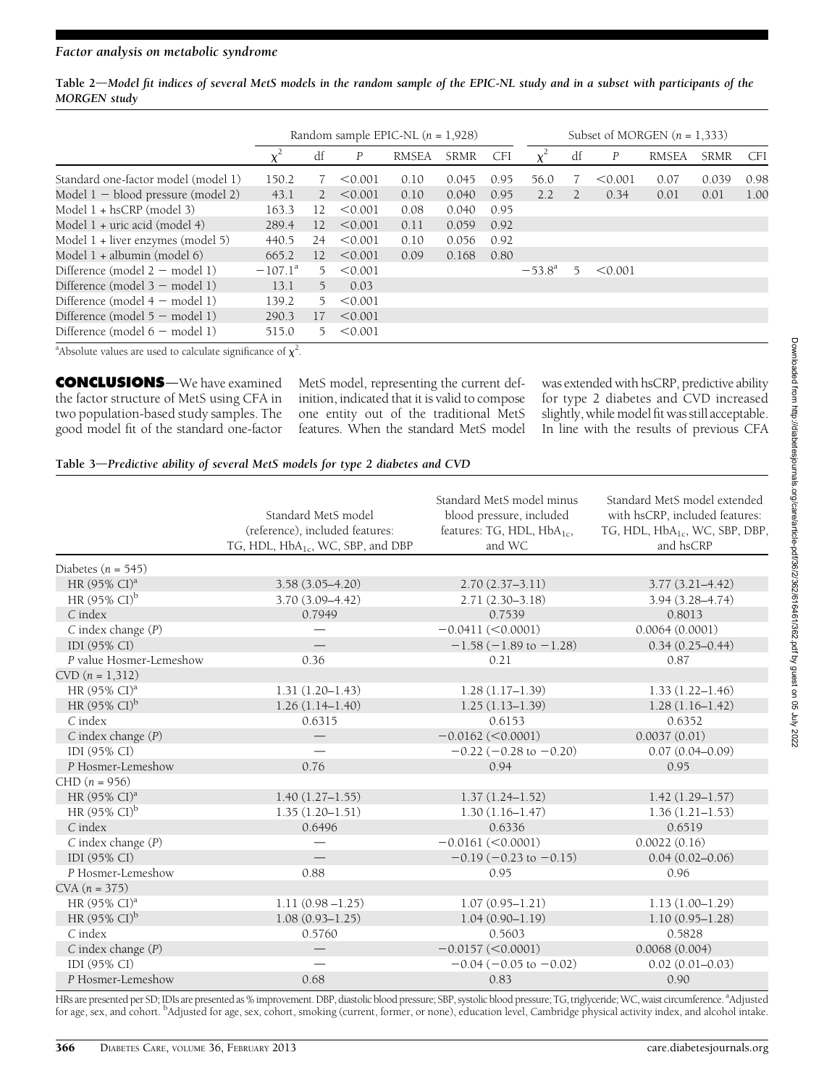Table 2—Model fit indices of several MetS models in the random sample of the EPIC-NL study and in a subset with participants of the MORGEN study

|                                                                                    |                  | Random sample EPIC-NL $(n = 1,928)$ |         |              |             | Subset of MORGEN $(n = 1,333)$ |                 |    |                  |              |             |      |
|------------------------------------------------------------------------------------|------------------|-------------------------------------|---------|--------------|-------------|--------------------------------|-----------------|----|------------------|--------------|-------------|------|
|                                                                                    |                  | df                                  | P       | <b>RMSEA</b> | <b>SRMR</b> | CFI                            |                 | df | $\boldsymbol{P}$ | <b>RMSEA</b> | <b>SRMR</b> | CFI  |
| Standard one-factor model (model 1)                                                | 150.2            |                                     | < 0.001 | 0.10         | 0.045       | 0.95                           | 56.0            |    | < 0.001          | 0.07         | 0.039       | 0.98 |
| Model $1 -$ blood pressure (model 2)                                               | 43.1             | $\mathbf{2}$                        | < 0.001 | 0.10         | 0.040       | 0.95                           | 2.2             |    | 0.34             | 0.01         | 0.01        | 1.00 |
| Model 1 + hsCRP (model 3)                                                          | 163.3            | 12                                  | < 0.001 | 0.08         | 0.040       | 0.95                           |                 |    |                  |              |             |      |
| Model 1 + uric acid (model 4)                                                      | 289.4            | 12                                  | < 0.001 | 0.11         | 0.059       | 0.92                           |                 |    |                  |              |             |      |
| Model $1 +$ liver enzymes (model 5)                                                | 440.5            | 24                                  | < 0.001 | 0.10         | 0.056       | 0.92                           |                 |    |                  |              |             |      |
| Model $1 +$ albumin (model 6)                                                      | 665.2            | 12                                  | < 0.001 | 0.09         | 0.168       | 0.80                           |                 |    |                  |              |             |      |
| Difference (model $2 -$ model 1)                                                   | $-107.1^{\circ}$ | 5.                                  | < 0.001 |              |             |                                | $-53.8^{\circ}$ | 5  | < 0.001          |              |             |      |
| Difference (model $3$ – model 1)                                                   | 13.1             | 5                                   | 0.03    |              |             |                                |                 |    |                  |              |             |      |
| Difference (model $4$ – model 1)                                                   | 139.2            | 5.                                  | < 0.001 |              |             |                                |                 |    |                  |              |             |      |
| Difference (model $5 -$ model 1)                                                   | 290.3            | 17                                  | < 0.001 |              |             |                                |                 |    |                  |              |             |      |
| Difference (model $6$ – model 1)                                                   | 515.0            | 5.                                  | < 0.001 |              |             |                                |                 |    |                  |              |             |      |
| <sup>2</sup> Abenduas coluna que una das polonidas significação a faz <sup>2</sup> |                  |                                     |         |              |             |                                |                 |    |                  |              |             |      |

<sup>a</sup>Absolute values are used to calculate significance of  $\chi^2$ .

**CONCLUSIONS**—We have examined the factor structure of MetS using CFA in two population-based study samples. The good model fit of the standard one-factor MetS model, representing the current definition, indicated that it is valid to compose one entity out of the traditional MetS features. When the standard MetS model

was extended with hsCRP, predictive ability for type 2 diabetes and CVD increased slightly, while model fit was still acceptable. In line with the results of previous CFA

#### Table 3-Predictive ability of several MetS models for type 2 diabetes and CVD

| blood pressure, included<br>Standard MetS model<br>with hsCRP, included features:<br>(reference), included features:<br>features: TG, HDL, HbA <sub>1c</sub> ,<br>TG, HDL, HbA <sub>1c</sub> , WC, SBP, DBP,<br>TG, HDL, HbA <sub>1c</sub> , WC, SBP, and DBP<br>and WC<br>and hsCRP<br>Diabetes $(n = 545)$<br>HR $(95\% \text{ CI})^{\text{a}}$<br>$3.58(3.05 - 4.20)$<br>$2.70(2.37-3.11)$<br>$3.77(3.21 - 4.42)$<br>HR $(95\% \text{ Cl})^{\text{b}}$<br>$3.70(3.09 - 4.42)$<br>$2.71(2.30-3.18)$<br>$3.94(3.28 - 4.74)$<br>$C$ index<br>0.7949<br>0.7539<br>0.8013<br>$C$ index change $(P)$<br>0.0064(0.0001)<br>$-0.0411 (< 0.0001)$<br>IDI (95% CI)<br>$-1.58(-1.89$ to $-1.28$ )<br>$0.34(0.25 - 0.44)$<br>0.36<br>P value Hosmer-Lemeshow<br>0.21<br>0.87<br>$CVD$ $(n = 1,312)$<br>HR (95% CI) <sup>a</sup><br>$1.31(1.20 - 1.43)$<br>$1.28(1.17-1.39)$<br>$1.33(1.22 - 1.46)$<br>HR $(95\% \text{ Cl})^{\text{b}}$<br>$1.26(1.14-1.40)$<br>$1.25(1.13 - 1.39)$<br>$1.28(1.16-1.42)$<br>$C$ index<br>0.6315<br>0.6153<br>0.6352<br>$C$ index change $(P)$<br>$-0.0162$ (<0.0001)<br>0.0037(0.01)<br>IDI (95% CI)<br>$-0.22$ ( $-0.28$ to $-0.20$ )<br>$0.07(0.04 - 0.09)$<br>P Hosmer-Lemeshow<br>0.76<br>0.94<br>0.95<br>$CHD (n = 956)$<br>HR $(95\% \text{ CI})^{\text{a}}$<br>$1.40(1.27-1.55)$<br>$1.37(1.24 - 1.52)$<br>$1.42(1.29 - 1.57)$ |                                   |                     | Standard MetS model minus | Standard MetS model extended |
|--------------------------------------------------------------------------------------------------------------------------------------------------------------------------------------------------------------------------------------------------------------------------------------------------------------------------------------------------------------------------------------------------------------------------------------------------------------------------------------------------------------------------------------------------------------------------------------------------------------------------------------------------------------------------------------------------------------------------------------------------------------------------------------------------------------------------------------------------------------------------------------------------------------------------------------------------------------------------------------------------------------------------------------------------------------------------------------------------------------------------------------------------------------------------------------------------------------------------------------------------------------------------------------------------------------------------------------------------------------|-----------------------------------|---------------------|---------------------------|------------------------------|
|                                                                                                                                                                                                                                                                                                                                                                                                                                                                                                                                                                                                                                                                                                                                                                                                                                                                                                                                                                                                                                                                                                                                                                                                                                                                                                                                                              |                                   |                     |                           |                              |
|                                                                                                                                                                                                                                                                                                                                                                                                                                                                                                                                                                                                                                                                                                                                                                                                                                                                                                                                                                                                                                                                                                                                                                                                                                                                                                                                                              |                                   |                     |                           |                              |
|                                                                                                                                                                                                                                                                                                                                                                                                                                                                                                                                                                                                                                                                                                                                                                                                                                                                                                                                                                                                                                                                                                                                                                                                                                                                                                                                                              |                                   |                     |                           |                              |
|                                                                                                                                                                                                                                                                                                                                                                                                                                                                                                                                                                                                                                                                                                                                                                                                                                                                                                                                                                                                                                                                                                                                                                                                                                                                                                                                                              |                                   |                     |                           |                              |
|                                                                                                                                                                                                                                                                                                                                                                                                                                                                                                                                                                                                                                                                                                                                                                                                                                                                                                                                                                                                                                                                                                                                                                                                                                                                                                                                                              |                                   |                     |                           |                              |
|                                                                                                                                                                                                                                                                                                                                                                                                                                                                                                                                                                                                                                                                                                                                                                                                                                                                                                                                                                                                                                                                                                                                                                                                                                                                                                                                                              |                                   |                     |                           |                              |
|                                                                                                                                                                                                                                                                                                                                                                                                                                                                                                                                                                                                                                                                                                                                                                                                                                                                                                                                                                                                                                                                                                                                                                                                                                                                                                                                                              |                                   |                     |                           |                              |
|                                                                                                                                                                                                                                                                                                                                                                                                                                                                                                                                                                                                                                                                                                                                                                                                                                                                                                                                                                                                                                                                                                                                                                                                                                                                                                                                                              |                                   |                     |                           |                              |
|                                                                                                                                                                                                                                                                                                                                                                                                                                                                                                                                                                                                                                                                                                                                                                                                                                                                                                                                                                                                                                                                                                                                                                                                                                                                                                                                                              |                                   |                     |                           |                              |
|                                                                                                                                                                                                                                                                                                                                                                                                                                                                                                                                                                                                                                                                                                                                                                                                                                                                                                                                                                                                                                                                                                                                                                                                                                                                                                                                                              |                                   |                     |                           |                              |
|                                                                                                                                                                                                                                                                                                                                                                                                                                                                                                                                                                                                                                                                                                                                                                                                                                                                                                                                                                                                                                                                                                                                                                                                                                                                                                                                                              |                                   |                     |                           |                              |
|                                                                                                                                                                                                                                                                                                                                                                                                                                                                                                                                                                                                                                                                                                                                                                                                                                                                                                                                                                                                                                                                                                                                                                                                                                                                                                                                                              |                                   |                     |                           |                              |
|                                                                                                                                                                                                                                                                                                                                                                                                                                                                                                                                                                                                                                                                                                                                                                                                                                                                                                                                                                                                                                                                                                                                                                                                                                                                                                                                                              |                                   |                     |                           |                              |
|                                                                                                                                                                                                                                                                                                                                                                                                                                                                                                                                                                                                                                                                                                                                                                                                                                                                                                                                                                                                                                                                                                                                                                                                                                                                                                                                                              |                                   |                     |                           |                              |
|                                                                                                                                                                                                                                                                                                                                                                                                                                                                                                                                                                                                                                                                                                                                                                                                                                                                                                                                                                                                                                                                                                                                                                                                                                                                                                                                                              |                                   |                     |                           |                              |
|                                                                                                                                                                                                                                                                                                                                                                                                                                                                                                                                                                                                                                                                                                                                                                                                                                                                                                                                                                                                                                                                                                                                                                                                                                                                                                                                                              |                                   |                     |                           |                              |
|                                                                                                                                                                                                                                                                                                                                                                                                                                                                                                                                                                                                                                                                                                                                                                                                                                                                                                                                                                                                                                                                                                                                                                                                                                                                                                                                                              |                                   |                     |                           |                              |
|                                                                                                                                                                                                                                                                                                                                                                                                                                                                                                                                                                                                                                                                                                                                                                                                                                                                                                                                                                                                                                                                                                                                                                                                                                                                                                                                                              |                                   |                     |                           |                              |
|                                                                                                                                                                                                                                                                                                                                                                                                                                                                                                                                                                                                                                                                                                                                                                                                                                                                                                                                                                                                                                                                                                                                                                                                                                                                                                                                                              |                                   |                     |                           |                              |
|                                                                                                                                                                                                                                                                                                                                                                                                                                                                                                                                                                                                                                                                                                                                                                                                                                                                                                                                                                                                                                                                                                                                                                                                                                                                                                                                                              |                                   |                     |                           |                              |
|                                                                                                                                                                                                                                                                                                                                                                                                                                                                                                                                                                                                                                                                                                                                                                                                                                                                                                                                                                                                                                                                                                                                                                                                                                                                                                                                                              | HR $(95\% \text{ Cl})^{\text{b}}$ | $1.35(1.20 - 1.51)$ | $1.30(1.16 - 1.47)$       | $1.36(1.21 - 1.53)$          |
| $C$ index<br>0.6496<br>0.6336<br>0.6519                                                                                                                                                                                                                                                                                                                                                                                                                                                                                                                                                                                                                                                                                                                                                                                                                                                                                                                                                                                                                                                                                                                                                                                                                                                                                                                      |                                   |                     |                           |                              |
| $C$ index change $(P)$<br>$-0.0161 (< 0.0001)$<br>0.0022(0.16)                                                                                                                                                                                                                                                                                                                                                                                                                                                                                                                                                                                                                                                                                                                                                                                                                                                                                                                                                                                                                                                                                                                                                                                                                                                                                               |                                   |                     |                           |                              |
| IDI (95% CI)<br>$0.04(0.02 - 0.06)$<br>$-0.19(-0.23 \text{ to } -0.15)$                                                                                                                                                                                                                                                                                                                                                                                                                                                                                                                                                                                                                                                                                                                                                                                                                                                                                                                                                                                                                                                                                                                                                                                                                                                                                      |                                   |                     |                           |                              |
| P Hosmer-Lemeshow<br>0.88<br>0.95<br>0.96                                                                                                                                                                                                                                                                                                                                                                                                                                                                                                                                                                                                                                                                                                                                                                                                                                                                                                                                                                                                                                                                                                                                                                                                                                                                                                                    |                                   |                     |                           |                              |
| $CVA (n = 375)$                                                                                                                                                                                                                                                                                                                                                                                                                                                                                                                                                                                                                                                                                                                                                                                                                                                                                                                                                                                                                                                                                                                                                                                                                                                                                                                                              |                                   |                     |                           |                              |
| $1.11(0.98 - 1.25)$<br>$1.13(1.00-1.29)$<br>HR $(95\% \text{ CI})^{\text{a}}$<br>$1.07(0.95 - 1.21)$                                                                                                                                                                                                                                                                                                                                                                                                                                                                                                                                                                                                                                                                                                                                                                                                                                                                                                                                                                                                                                                                                                                                                                                                                                                         |                                   |                     |                           |                              |
| HR (95% CI) <sup>b</sup><br>$1.08(0.93 - 1.25)$<br>$1.04(0.90 - 1.19)$<br>$1.10(0.95 - 1.28)$                                                                                                                                                                                                                                                                                                                                                                                                                                                                                                                                                                                                                                                                                                                                                                                                                                                                                                                                                                                                                                                                                                                                                                                                                                                                |                                   |                     |                           |                              |
| $C$ index<br>0.5760<br>0.5603<br>0.5828                                                                                                                                                                                                                                                                                                                                                                                                                                                                                                                                                                                                                                                                                                                                                                                                                                                                                                                                                                                                                                                                                                                                                                                                                                                                                                                      |                                   |                     |                           |                              |
| $C$ index change $(P)$<br>$-0.0157$ (<0.0001)<br>0.0068(0.004)                                                                                                                                                                                                                                                                                                                                                                                                                                                                                                                                                                                                                                                                                                                                                                                                                                                                                                                                                                                                                                                                                                                                                                                                                                                                                               |                                   |                     |                           |                              |
| IDI (95% CI)<br>$-0.04$ ( $-0.05$ to $-0.02$ )<br>$0.02(0.01 - 0.03)$                                                                                                                                                                                                                                                                                                                                                                                                                                                                                                                                                                                                                                                                                                                                                                                                                                                                                                                                                                                                                                                                                                                                                                                                                                                                                        |                                   |                     |                           |                              |
| 0.68<br>P Hosmer-Lemeshow<br>0.83<br>0.90                                                                                                                                                                                                                                                                                                                                                                                                                                                                                                                                                                                                                                                                                                                                                                                                                                                                                                                                                                                                                                                                                                                                                                                                                                                                                                                    |                                   |                     |                           |                              |

HRs are presented per SD; IDIs are presented as % improvement. DBP, diastolic blood pressure; SBP, systolic blood pressure; TG, triglyceride; WC, waist circumference. <sup>a</sup>Adjusted for age, sex, and cohort. <sup>b</sup>Adjusted for age, sex, cohort, smoking (current, former, or none), education level, Cambridge physical activity index, and alcohol intake.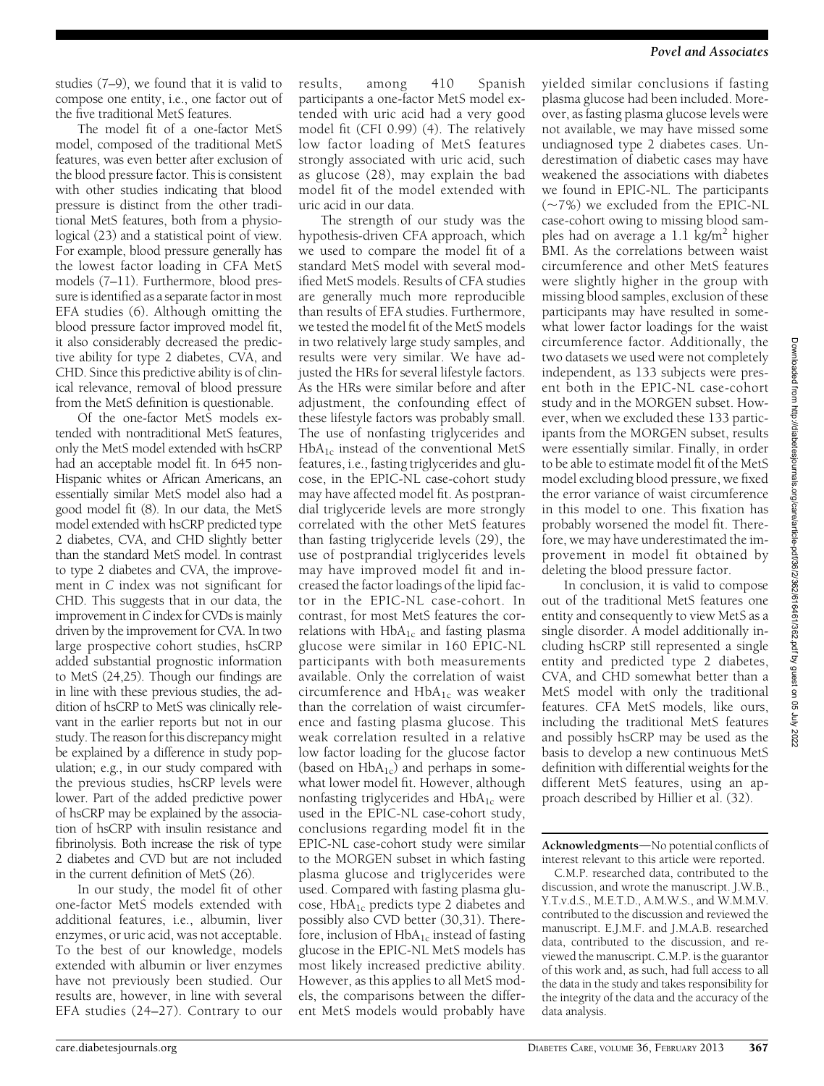studies (7–9), we found that it is valid to compose one entity, i.e., one factor out of the five traditional MetS features.

The model fit of a one-factor MetS model, composed of the traditional MetS features, was even better after exclusion of the blood pressure factor. This is consistent with other studies indicating that blood pressure is distinct from the other traditional MetS features, both from a physiological (23) and a statistical point of view. For example, blood pressure generally has the lowest factor loading in CFA MetS models (7–11). Furthermore, blood pressure is identified as a separate factor in most EFA studies (6). Although omitting the blood pressure factor improved model fit, it also considerably decreased the predictive ability for type 2 diabetes, CVA, and CHD. Since this predictive ability is of clinical relevance, removal of blood pressure from the MetS definition is questionable.

Of the one-factor MetS models extended with nontraditional MetS features, only the MetS model extended with hsCRP had an acceptable model fit. In 645 non-Hispanic whites or African Americans, an essentially similar MetS model also had a good model fit (8). In our data, the MetS model extended with hsCRP predicted type 2 diabetes, CVA, and CHD slightly better than the standard MetS model. In contrast to type 2 diabetes and CVA, the improvement in C index was not significant for CHD. This suggests that in our data, the improvement in C index for CVDs is mainly driven by the improvement for CVA. In two large prospective cohort studies, hsCRP added substantial prognostic information to MetS (24,25). Though our findings are in line with these previous studies, the addition of hsCRP to MetS was clinically relevant in the earlier reports but not in our study. The reason for this discrepancy might be explained by a difference in study population; e.g., in our study compared with the previous studies, hsCRP levels were lower. Part of the added predictive power of hsCRP may be explained by the association of hsCRP with insulin resistance and fibrinolysis. Both increase the risk of type 2 diabetes and CVD but are not included in the current definition of MetS (26).

In our study, the model fit of other one-factor MetS models extended with additional features, i.e., albumin, liver enzymes, or uric acid, was not acceptable. To the best of our knowledge, models extended with albumin or liver enzymes have not previously been studied. Our results are, however, in line with several EFA studies (24–27). Contrary to our results, among 410 Spanish participants a one-factor MetS model extended with uric acid had a very good model fit (CFI 0.99) (4). The relatively low factor loading of MetS features strongly associated with uric acid, such as glucose (28), may explain the bad model fit of the model extended with uric acid in our data.

The strength of our study was the hypothesis-driven CFA approach, which we used to compare the model fit of a standard MetS model with several modified MetS models. Results of CFA studies are generally much more reproducible than results of EFA studies. Furthermore, we tested the model fit of the MetS models in two relatively large study samples, and results were very similar. We have adjusted the HRs for several lifestyle factors. As the HRs were similar before and after adjustment, the confounding effect of these lifestyle factors was probably small. The use of nonfasting triglycerides and  $HbA_{1c}$  instead of the conventional MetS features, i.e., fasting triglycerides and glucose, in the EPIC-NL case-cohort study may have affected model fit. As postprandial triglyceride levels are more strongly correlated with the other MetS features than fasting triglyceride levels (29), the use of postprandial triglycerides levels may have improved model fit and increased the factor loadings of the lipid factor in the EPIC-NL case-cohort. In contrast, for most MetS features the correlations with  $HbA_{1c}$  and fasting plasma glucose were similar in 160 EPIC-NL participants with both measurements available. Only the correlation of waist circumference and  $HbA_{1c}$  was weaker than the correlation of waist circumference and fasting plasma glucose. This weak correlation resulted in a relative low factor loading for the glucose factor (based on  $HbA_{1c}$ ) and perhaps in somewhat lower model fit. However, although nonfasting triglycerides and  $HbA_{1c}$  were used in the EPIC-NL case-cohort study, conclusions regarding model fit in the EPIC-NL case-cohort study were similar to the MORGEN subset in which fasting plasma glucose and triglycerides were used. Compared with fasting plasma glucose, HbA1c predicts type 2 diabetes and possibly also CVD better (30,31). Therefore, inclusion of  $HbA_{1c}$  instead of fasting glucose in the EPIC-NL MetS models has most likely increased predictive ability. However, as this applies to all MetS models, the comparisons between the different MetS models would probably have

yielded similar conclusions if fasting plasma glucose had been included. Moreover, as fasting plasma glucose levels were not available, we may have missed some undiagnosed type 2 diabetes cases. Underestimation of diabetic cases may have weakened the associations with diabetes we found in EPIC-NL. The participants  $(-7%)$  we excluded from the EPIC-NL case-cohort owing to missing blood samples had on average a 1.1  $\text{kg/m}^2$  higher BMI. As the correlations between waist circumference and other MetS features were slightly higher in the group with missing blood samples, exclusion of these participants may have resulted in somewhat lower factor loadings for the waist circumference factor. Additionally, the two datasets we used were not completely independent, as 133 subjects were present both in the EPIC-NL case-cohort study and in the MORGEN subset. However, when we excluded these 133 participants from the MORGEN subset, results were essentially similar. Finally, in order to be able to estimate model fit of the MetS model excluding blood pressure, we fixed the error variance of waist circumference in this model to one. This fixation has probably worsened the model fit. Therefore, we may have underestimated the improvement in model fit obtained by deleting the blood pressure factor.

In conclusion, it is valid to compose out of the traditional MetS features one entity and consequently to view MetS as a single disorder. A model additionally including hsCRP still represented a single entity and predicted type 2 diabetes, CVA, and CHD somewhat better than a MetS model with only the traditional features. CFA MetS models, like ours, including the traditional MetS features and possibly hsCRP may be used as the basis to develop a new continuous MetS definition with differential weights for the different MetS features, using an approach described by Hillier et al. (32).

Acknowledgments-No potential conflicts of interest relevant to this article were reported.

C.M.P. researched data, contributed to the discussion, and wrote the manuscript. J.W.B., Y.T.v.d.S., M.E.T.D., A.M.W.S., and W.M.M.V. contributed to the discussion and reviewed the manuscript. E.J.M.F. and J.M.A.B. researched data, contributed to the discussion, and reviewed the manuscript. C.M.P. is the guarantor of this work and, as such, had full access to all the data in the study and takes responsibility for the integrity of the data and the accuracy of the data analysis.